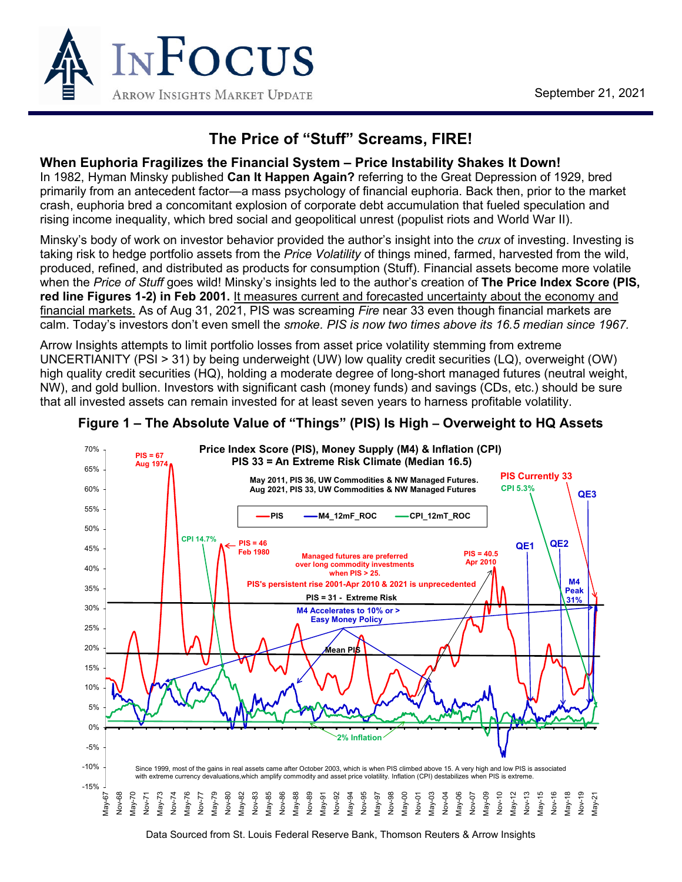

# **The Price of "Stuff" Screams, FIRE!**

#### **When Euphoria Fragilizes the Financial System – Price Instability Shakes It Down!**

In 1982, Hyman Minsky published **Can It Happen Again?** referring to the Great Depression of 1929, bred primarily from an antecedent factor—a mass psychology of financial euphoria. Back then, prior to the market crash, euphoria bred a concomitant explosion of corporate debt accumulation that fueled speculation and rising income inequality, which bred social and geopolitical unrest (populist riots and World War II).

Minsky's body of work on investor behavior provided the author's insight into the *crux* of investing. Investing is taking risk to hedge portfolio assets from the *Price Volatility* of things mined, farmed, harvested from the wild, produced, refined, and distributed as products for consumption (Stuff). Financial assets become more volatile when the *Price of Stuff* goes wild! Minsky's insights led to the author's creation of **The Price Index Score (PIS, red line Figures 1-2) in Feb 2001.** It measures current and forecasted uncertainty about the economy and financial markets. As of Aug 31, 2021, PIS was screaming *Fire* near 33 even though financial markets are calm. Today's investors don't even smell the *smoke. PIS is now two times above its 16.5 median since 1967.*

Arrow Insights attempts to limit portfolio losses from asset price volatility stemming from extreme UNCERTIANITY (PSI > 31) by being underweight (UW) low quality credit securities (LQ), overweight (OW) high quality credit securities (HQ), holding a moderate degree of long-short managed futures (neutral weight, NW), and gold bullion. Investors with significant cash (money funds) and savings (CDs, etc.) should be sure that all invested assets can remain invested for at least seven years to harness profitable volatility.



#### **Figure 1 – The Absolute Value of "Things" (PIS) Is High – Overweight to HQ Assets**

Data Sourced from St. Louis Federal Reserve Bank, Thomson Reuters & Arrow Insights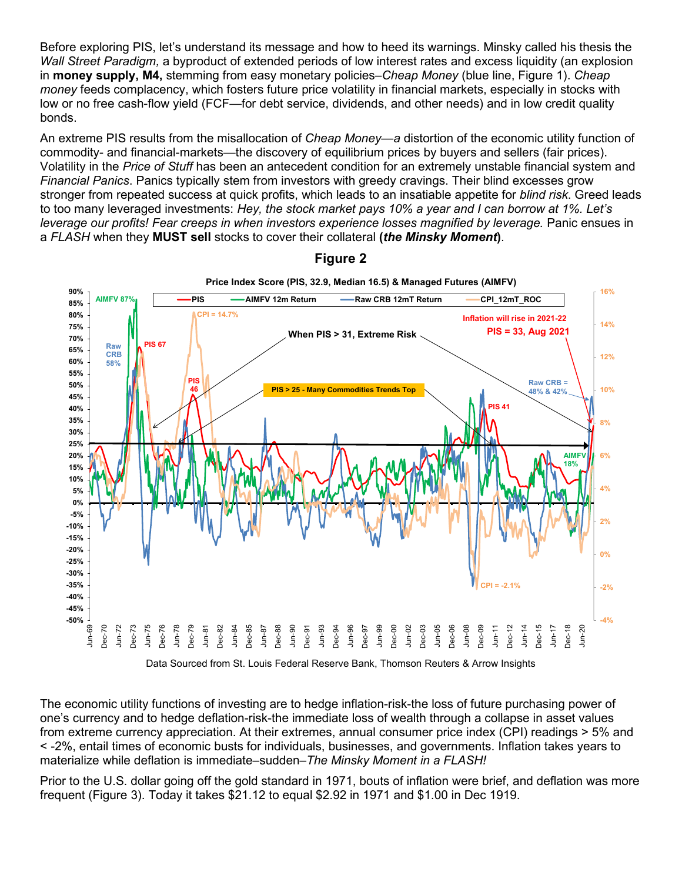Before exploring PIS, let's understand its message and how to heed its warnings. Minsky called his thesis the *Wall Street Paradigm,* a byproduct of extended periods of low interest rates and excess liquidity (an explosion in **money supply, M4,** stemming from easy monetary policies–*Cheap Money* (blue line, Figure 1). *Cheap money* feeds complacency, which fosters future price volatility in financial markets, especially in stocks with low or no free cash-flow yield (FCF—for debt service, dividends, and other needs) and in low credit quality bonds.

An extreme PIS results from the misallocation of *Cheap Money*—*a* distortion of the economic utility function of commodity- and financial-markets—the discovery of equilibrium prices by buyers and sellers (fair prices). Volatility in the *Price of Stuff* has been an antecedent condition for an extremely unstable financial system and *Financial Panics*. Panics typically stem from investors with greedy cravings. Their blind excesses grow stronger from repeated success at quick profits, which leads to an insatiable appetite for *blind risk*. Greed leads to too many leveraged investments: *Hey, the stock market pays 10% a year and I can borrow at 1%. Let's leverage our profits! Fear creeps in when investors experience losses magnified by leverage.* Panic ensues in a *FLASH* when they **MUST sell** stocks to cover their collateral **(***the Minsky Moment***)**.



**Figure 2**

Data Sourced from St. Louis Federal Reserve Bank, Thomson Reuters & Arrow Insights

The economic utility functions of investing are to hedge inflation-risk-the loss of future purchasing power of one's currency and to hedge deflation-risk-the immediate loss of wealth through a collapse in asset values from extreme currency appreciation. At their extremes, annual consumer price index (CPI) readings > 5% and < -2%, entail times of economic busts for individuals, businesses, and governments. Inflation takes years to materialize while deflation is immediate–sudden–*The Minsky Moment in a FLASH!*

Prior to the U.S. dollar going off the gold standard in 1971, bouts of inflation were brief, and deflation was more frequent (Figure 3). Today it takes \$21.12 to equal \$2.92 in 1971 and \$1.00 in Dec 1919.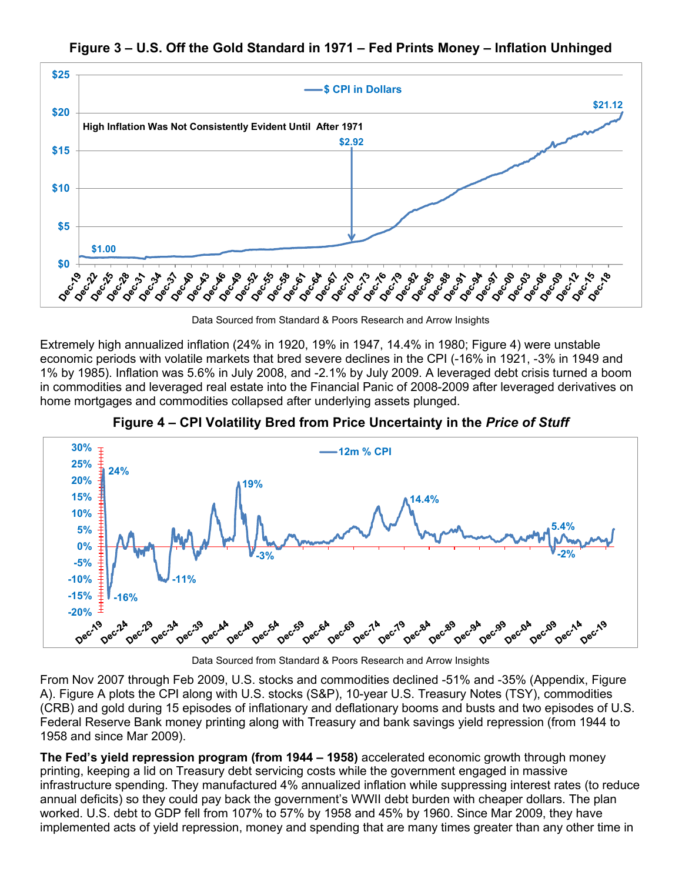



Data Sourced from Standard & Poors Research and Arrow Insights

Extremely high annualized inflation (24% in 1920, 19% in 1947, 14.4% in 1980; Figure 4) were unstable economic periods with volatile markets that bred severe declines in the CPI (-16% in 1921, -3% in 1949 and 1% by 1985). Inflation was 5.6% in July 2008, and -2.1% by July 2009. A leveraged debt crisis turned a boom in commodities and leveraged real estate into the Financial Panic of 2008-2009 after leveraged derivatives on home mortgages and commodities collapsed after underlying assets plunged.



**Figure 4 – CPI Volatility Bred from Price Uncertainty in the** *Price of Stuff*

Data Sourced from Standard & Poors Research and Arrow Insights

From Nov 2007 through Feb 2009, U.S. stocks and commodities declined -51% and -35% (Appendix, Figure A). Figure A plots the CPI along with U.S. stocks (S&P), 10-year U.S. Treasury Notes (TSY), commodities (CRB) and gold during 15 episodes of inflationary and deflationary booms and busts and two episodes of U.S. Federal Reserve Bank money printing along with Treasury and bank savings yield repression (from 1944 to 1958 and since Mar 2009).

**The Fed's yield repression program (from 1944 – 1958)** accelerated economic growth through money printing, keeping a lid on Treasury debt servicing costs while the government engaged in massive infrastructure spending. They manufactured 4% annualized inflation while suppressing interest rates (to reduce annual deficits) so they could pay back the government's WWII debt burden with cheaper dollars. The plan worked. U.S. debt to GDP fell from 107% to 57% by 1958 and 45% by 1960. Since Mar 2009, they have implemented acts of yield repression, money and spending that are many times greater than any other time in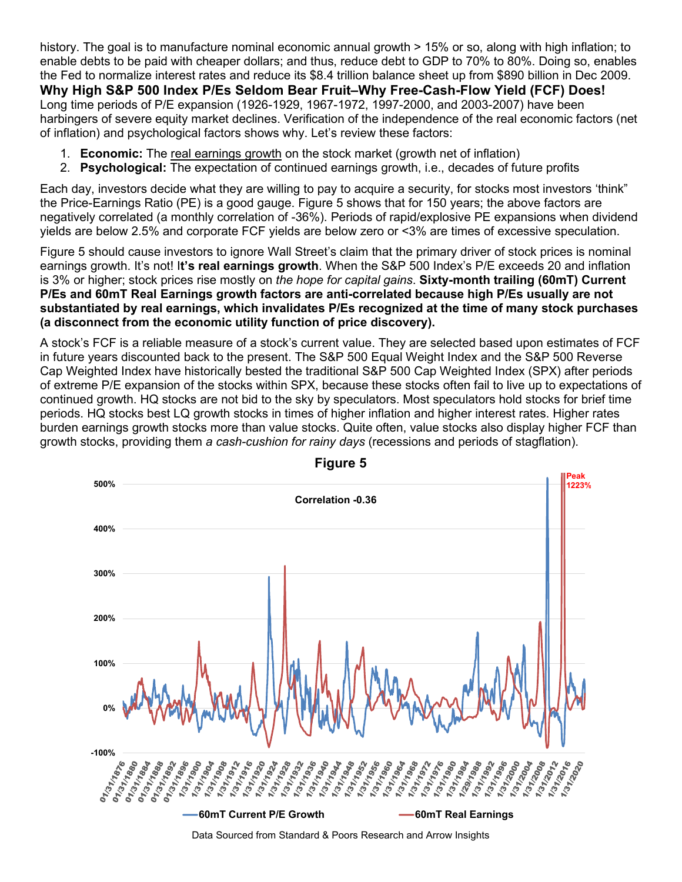history. The goal is to manufacture nominal economic annual growth > 15% or so, along with high inflation; to enable debts to be paid with cheaper dollars; and thus, reduce debt to GDP to 70% to 80%. Doing so, enables the Fed to normalize interest rates and reduce its \$8.4 trillion balance sheet up from \$890 billion in Dec 2009. **Why High S&P 500 Index P/Es Seldom Bear Fruit–Why Free-Cash-Flow Yield (FCF) Does!**  Long time periods of P/E expansion (1926-1929, 1967-1972, 1997-2000, and 2003-2007) have been harbingers of severe equity market declines. Verification of the independence of the real economic factors (net of inflation) and psychological factors shows why. Let's review these factors:

- 1. **Economic:** The real earnings growth on the stock market (growth net of inflation)
- 2. **Psychological:** The expectation of continued earnings growth, i.e., decades of future profits

Each day, investors decide what they are willing to pay to acquire a security, for stocks most investors 'think" the Price-Earnings Ratio (PE) is a good gauge. Figure 5 shows that for 150 years; the above factors are negatively correlated (a monthly correlation of -36%). Periods of rapid/explosive PE expansions when dividend yields are below 2.5% and corporate FCF yields are below zero or <3% are times of excessive speculation.

Figure 5 should cause investors to ignore Wall Street's claim that the primary driver of stock prices is nominal earnings growth. It's not! I**t's real earnings growth**. When the S&P 500 Index's P/E exceeds 20 and inflation is 3% or higher; stock prices rise mostly on *the hope for capital gains*. **Sixty-month trailing (60mT) Current P/Es and 60mT Real Earnings growth factors are anti-correlated because high P/Es usually are not substantiated by real earnings, which invalidates P/Es recognized at the time of many stock purchases (a disconnect from the economic utility function of price discovery).** 

A stock's FCF is a reliable measure of a stock's current value. They are selected based upon estimates of FCF in future years discounted back to the present. The S&P 500 Equal Weight Index and the S&P 500 Reverse Cap Weighted Index have historically bested the traditional S&P 500 Cap Weighted Index (SPX) after periods of extreme P/E expansion of the stocks within SPX, because these stocks often fail to live up to expectations of continued growth. HQ stocks are not bid to the sky by speculators. Most speculators hold stocks for brief time periods. HQ stocks best LQ growth stocks in times of higher inflation and higher interest rates. Higher rates burden earnings growth stocks more than value stocks. Quite often, value stocks also display higher FCF than growth stocks, providing them *a cash-cushion for rainy days* (recessions and periods of stagflation).



**Figure 5**

Data Sourced from Standard & Poors Research and Arrow Insights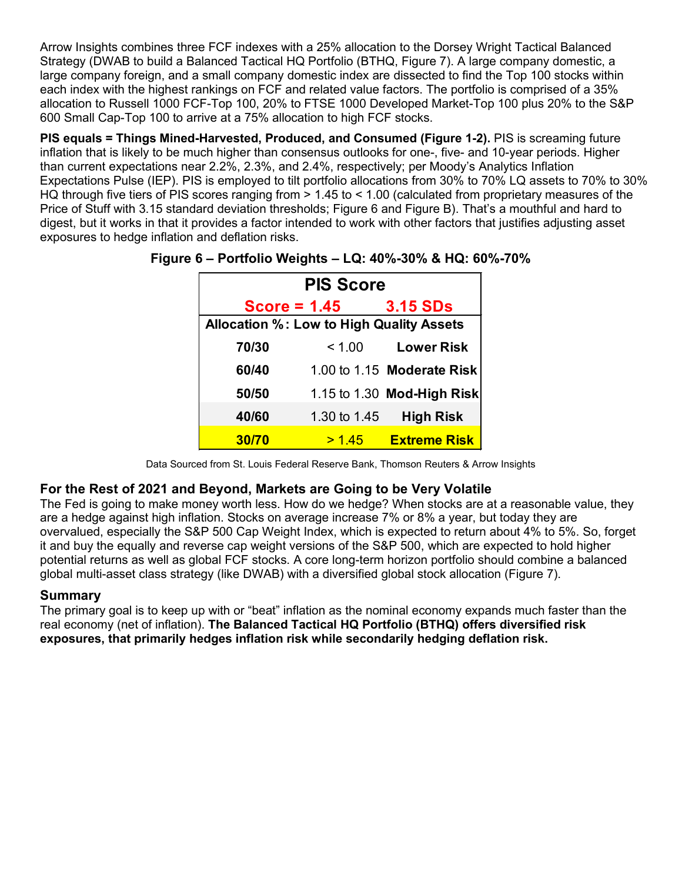Arrow Insights combines three FCF indexes with a 25% allocation to the Dorsey Wright Tactical Balanced Strategy (DWAB to build a Balanced Tactical HQ Portfolio (BTHQ, Figure 7). A large company domestic, a large company foreign, and a small company domestic index are dissected to find the Top 100 stocks within each index with the highest rankings on FCF and related value factors. The portfolio is comprised of a 35% allocation to Russell 1000 FCF-Top 100, 20% to FTSE 1000 Developed Market-Top 100 plus 20% to the S&P 600 Small Cap-Top 100 to arrive at a 75% allocation to high FCF stocks.

**PIS equals = Things Mined-Harvested, Produced, and Consumed (Figure 1-2).** PIS is screaming future inflation that is likely to be much higher than consensus outlooks for one-, five- and 10-year periods. Higher than current expectations near 2.2%, 2.3%, and 2.4%, respectively; per Moody's Analytics Inflation Expectations Pulse (IEP). PIS is employed to tilt portfolio allocations from 30% to 70% LQ assets to 70% to 30% HQ through five tiers of PIS scores ranging from  $> 1.45$  to < 1.00 (calculated from proprietary measures of the Price of Stuff with 3.15 standard deviation thresholds; Figure 6 and Figure B). That's a mouthful and hard to digest, but it works in that it provides a factor intended to work with other factors that justifies adjusting asset exposures to hedge inflation and deflation risks.

| <b>PIS Score</b>                                |                |                                   |  |  |  |  |  |  |
|-------------------------------------------------|----------------|-----------------------------------|--|--|--|--|--|--|
|                                                 | $Score = 1.45$ | <b>3.15 SDs</b>                   |  |  |  |  |  |  |
| <b>Allocation %: Low to High Quality Assets</b> |                |                                   |  |  |  |  |  |  |
| 70/30                                           | < 1.00         | <b>Lower Risk</b>                 |  |  |  |  |  |  |
| 60/40                                           |                | 1.00 to 1.15 Moderate Risk        |  |  |  |  |  |  |
| 50/50                                           |                | 1.15 to 1.30 <b>Mod-High Risk</b> |  |  |  |  |  |  |
| 40/60                                           | 1.30 to 1.45   | <b>High Risk</b>                  |  |  |  |  |  |  |
| 30/70                                           | >145           | <b>Extreme Risk</b>               |  |  |  |  |  |  |

**Figure 6 – Portfolio Weights – LQ: 40%-30% & HQ: 60%-70%** 

Data Sourced from St. Louis Federal Reserve Bank, Thomson Reuters & Arrow Insights

#### **For the Rest of 2021 and Beyond, Markets are Going to be Very Volatile**

The Fed is going to make money worth less. How do we hedge? When stocks are at a reasonable value, they are a hedge against high inflation. Stocks on average increase 7% or 8% a year, but today they are overvalued, especially the S&P 500 Cap Weight Index, which is expected to return about 4% to 5%. So, forget it and buy the equally and reverse cap weight versions of the S&P 500, which are expected to hold higher potential returns as well as global FCF stocks. A core long-term horizon portfolio should combine a balanced global multi-asset class strategy (like DWAB) with a diversified global stock allocation (Figure 7).

#### **Summary**

The primary goal is to keep up with or "beat" inflation as the nominal economy expands much faster than the real economy (net of inflation). **The Balanced Tactical HQ Portfolio (BTHQ) offers diversified risk exposures, that primarily hedges inflation risk while secondarily hedging deflation risk.**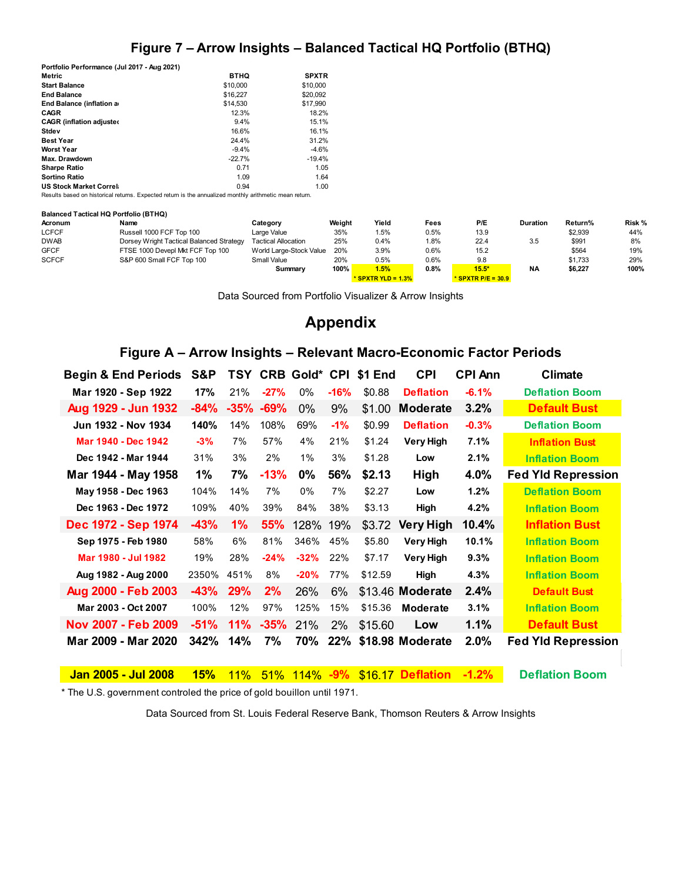## **Figure 7 – Arrow Insights – Balanced Tactical HQ Portfolio (BTHQ)**

| Portfolio Performance (Jul 2017 - Aug 2021)                                                            |             |              |
|--------------------------------------------------------------------------------------------------------|-------------|--------------|
| Metric                                                                                                 | <b>BTHQ</b> | <b>SPXTR</b> |
| <b>Start Balance</b>                                                                                   | \$10,000    | \$10,000     |
| <b>End Balance</b>                                                                                     | \$16,227    | \$20,092     |
| End Balance (inflation a                                                                               | \$14,530    | \$17,990     |
| CAGR                                                                                                   | 12.3%       | 18.2%        |
| <b>CAGR</b> (inflation adjusted                                                                        | 9.4%        | 15.1%        |
| Stdev                                                                                                  | 16.6%       | 16.1%        |
| <b>Best Year</b>                                                                                       | 24.4%       | 31.2%        |
| <b>Worst Year</b>                                                                                      | $-9.4%$     | $-4.6%$      |
| Max. Drawdown                                                                                          | $-22.7%$    | $-19.4%$     |
| <b>Sharpe Ratio</b>                                                                                    | 0.71        | 1.05         |
| <b>Sortino Ratio</b>                                                                                   | 1.09        | 1.64         |
| <b>US Stock Market Correl:</b>                                                                         | 0.94        | 1.00         |
| Results based on historical returns. Expected return is the annualized monthly arithmetic mean return. |             |              |

#### **Balanced Tactical HQ Portfolio (BTHQ)**

| Acronum      | Name                                     | Category                   | Weight | Yield                 | Fees | P/E                  | <b>Duration</b> | Return% | Risk % |
|--------------|------------------------------------------|----------------------------|--------|-----------------------|------|----------------------|-----------------|---------|--------|
| <b>LCFCF</b> | Russell 1000 FCF Top 100                 | Large Value                | 35%    | 1.5%                  | 0.5% | 13.9                 |                 | \$2,939 | 44%    |
| <b>DWAB</b>  | Dorsey Wright Tactical Balanced Strategy | <b>Tactical Allocation</b> | 25%    | 0.4%                  | 1.8% | 22.4                 | 3.5             | \$991   | 8%     |
| <b>GFCF</b>  | FTSE 1000 Devepl Mkt FCF Top 100         | World Large-Stock Value    | 20%    | 3.9%                  | 0.6% | 15.2                 |                 | \$564   | 19%    |
| <b>SCFCF</b> | S&P 600 Small FCF Top 100                | <b>Small Value</b>         | 20%    | 0.5%                  | 0.6% | 9.8                  |                 | \$1.733 | 29%    |
|              |                                          | Summary                    | 100%   | 1.5%                  | 0.8% | $15.5*$              | <b>NA</b>       | \$6,227 | 100%   |
|              |                                          |                            |        | * SPXTR YLD = $1.3\%$ |      | * SPXTR $P/E = 30.9$ |                 |         |        |

Data Sourced from Portfolio Visualizer & Arrow Insights

## **Appendix**

## **Figure A – Arrow Insights – Relevant Macro-Economic Factor Periods**

| <b>Begin &amp; End Periods</b> | S&P    | TSY     |        | <b>CRB Gold* CPI</b> |        | \$1 End | <b>CPI</b>           | <b>CPI Ann</b> | <b>Climate</b>            |
|--------------------------------|--------|---------|--------|----------------------|--------|---------|----------------------|----------------|---------------------------|
| Mar 1920 - Sep 1922            | 17%    | 21%     | $-27%$ | $0\%$                | $-16%$ | \$0.88  | <b>Deflation</b>     | $-6.1%$        | <b>Deflation Boom</b>     |
| Aug 1929 - Jun 1932            | $-84%$ | $-35\%$ | $-69%$ | $0\%$                | 9%     | \$1.00  | <b>Moderate</b>      | 3.2%           | <b>Default Bust</b>       |
| Jun 1932 - Nov 1934            | 140%   | 14%     | 108%   | 69%                  | $-1%$  | \$0.99  | <b>Deflation</b>     | $-0.3%$        | <b>Deflation Boom</b>     |
| Mar 1940 - Dec 1942            | $-3%$  | 7%      | 57%    | 4%                   | 21%    | \$1.24  | Very High            | 7.1%           | <b>Inflation Bust</b>     |
| Dec 1942 - Mar 1944            | 31%    | 3%      | 2%     | $1\%$                | 3%     | \$1.28  | Low                  | 2.1%           | <b>Inflation Boom</b>     |
| Mar 1944 - May 1958            | 1%     | 7%      | $-13%$ | 0%                   | 56%    | \$2.13  | High                 | 4.0%           | <b>Fed Yld Repression</b> |
| May 1958 - Dec 1963            | 104%   | 14%     | 7%     | $0\%$                | 7%     | \$2.27  | Low                  | 1.2%           | <b>Deflation Boom</b>     |
| Dec 1963 - Dec 1972            | 109%   | 40%     | 39%    | 84%                  | 38%    | \$3.13  | High                 | 4.2%           | <b>Inflation Boom</b>     |
| Dec 1972 - Sep 1974            | $-43%$ | $1\%$   | 55%    | 128% 19%             |        | \$3.72  | Very High            | 10.4%          | <b>Inflation Bust</b>     |
| Sep 1975 - Feb 1980            | 58%    | 6%      | 81%    | 346%                 | 45%    | \$5.80  | <b>Very High</b>     | 10.1%          | <b>Inflation Boom</b>     |
| Mar 1980 - Jul 1982            | 19%    | 28%     | $-24%$ | $-32%$               | 22%    | \$7.17  | Very High            | 9.3%           | <b>Inflation Boom</b>     |
| Aug 1982 - Aug 2000            | 2350%  | 451%    | 8%     | $-20%$               | 77%    | \$12.59 | High                 | 4.3%           | <b>Inflation Boom</b>     |
| Aug 2000 - Feb 2003            | $-43%$ | 29%     | 2%     | 26%                  | 6%     |         | \$13.46 Moderate     | 2.4%           | <b>Default Bust</b>       |
| Mar 2003 - Oct 2007            | 100%   | 12%     | 97%    | 125%                 | 15%    | \$15.36 | <b>Moderate</b>      | 3.1%           | <b>Inflation Boom</b>     |
| Nov 2007 - Feb 2009            | $-51%$ | 11%     | $-35%$ | 21%                  | 2%     | \$15.60 | Low                  | 1.1%           | <b>Default Bust</b>       |
| Mar 2009 - Mar 2020            | 342%   | 14%     | 7%     | 70%                  |        |         | 22% \$18.98 Moderate | 2.0%           | <b>Fed Yld Repression</b> |

**Jan 2005 - Jul 2008 15%** 11% 51% 114% **-9%** \$16.17 **Deflation -1.2% Deflation Boom**

\* The U.S. government controled the price of gold bouillon until 1971.

Data Sourced from St. Louis Federal Reserve Bank, Thomson Reuters & Arrow Insights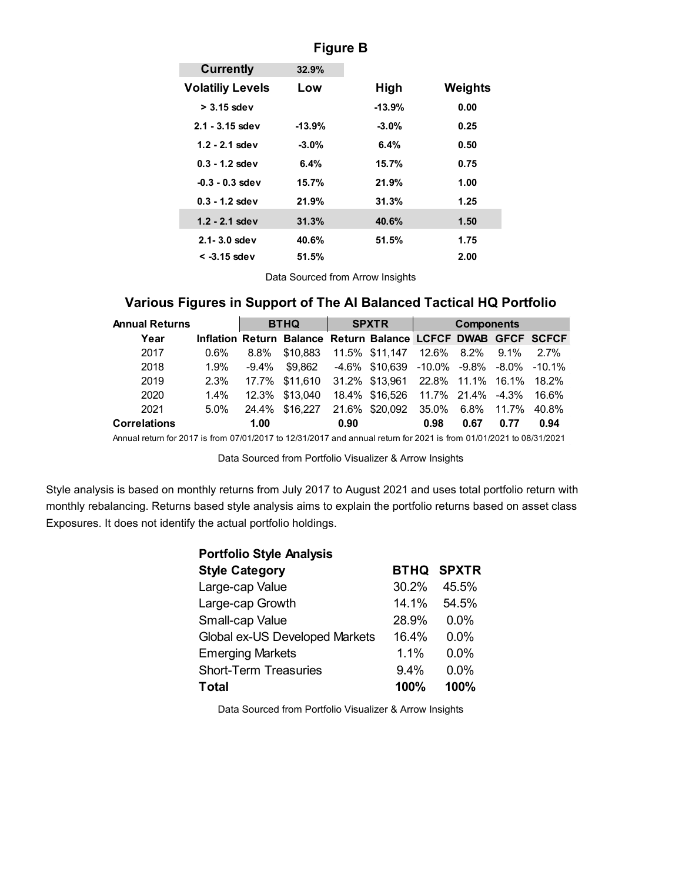| <b>Currently</b>        | 32.9%    |          |         |
|-------------------------|----------|----------|---------|
| <b>Volatiliy Levels</b> | Low      | High     | Weights |
| $>$ 3.15 sdev           |          | $-13.9%$ | 0.00    |
| $2.1 - 3.15$ sdev       | $-13.9%$ | $-3.0%$  | 0.25    |
| $1.2 - 2.1$ sdev        | $-3.0%$  | 6.4%     | 0.50    |
| $0.3 - 1.2$ sdev        | 6.4%     | 15.7%    | 0.75    |
| $-0.3 - 0.3$ sdev       | 15.7%    | 21.9%    | 1.00    |
| $0.3 - 1.2$ sdev        | 21.9%    | 31.3%    | 1.25    |
| $1.2 - 2.1$ sdev        | 31.3%    | 40.6%    | 1.50    |
| $2.1 - 3.0$ sdev        | 40.6%    | 51.5%    | 1.75    |
| < -3.15 sdev            | 51.5%    |          | 2.00    |

#### **Figure B**

Data Sourced from Arrow Insights

## **Various Figures in Support of The AI Balanced Tactical HQ Portfolio**

| <b>Annual Returns</b> |         | <b>BTHQ</b> |                                                               |      | <b>SPXTR</b>                             | <b>Components</b> |      |      |       |  |
|-----------------------|---------|-------------|---------------------------------------------------------------|------|------------------------------------------|-------------------|------|------|-------|--|
| Year                  |         |             | Inflation Return Balance Return Balance LCFCF DWAB GFCF SCFCF |      |                                          |                   |      |      |       |  |
| 2017                  | $0.6\%$ | 8.8%        | \$10.883                                                      |      | 11.5% \$11,147 12.6% 8.2% 9.1% 2.7%      |                   |      |      |       |  |
| 2018                  | 1.9%    | -9.4%       | \$9.862                                                       |      | -4.6% \$10,639 -10.0% -9.8% -8.0% -10.1% |                   |      |      |       |  |
| 2019                  | 2.3%    |             | 17.7% \$11,610                                                |      | 31.2% \$13.961 22.8% 11.1% 16.1% 18.2%   |                   |      |      |       |  |
| 2020                  | $1.4\%$ |             | 12.3% \$13.040                                                |      | 18.4% \$16,526 11.7% 21.4% -4.3% 16.6%   |                   |      |      |       |  |
| 2021                  | $5.0\%$ |             | 24.4% \$16.227                                                |      | 21.6% \$20.092                           | 35.0% 6.8% 11.7%  |      |      | 40.8% |  |
| <b>Correlations</b>   |         | 1.00        |                                                               | 0.90 |                                          | 0.98              | 0.67 | 0.77 | 0.94  |  |

Annual return for 2017 is from 07/01/2017 to 12/31/2017 and annual return for 2021 is from 01/01/2021 to 08/31/2021

Data Sourced from Portfolio Visualizer & Arrow Insights

Style analysis is based on monthly returns from July 2017 to August 2021 and uses total portfolio return with monthly rebalancing. Returns based style analysis aims to explain the portfolio returns based on asset class Exposures. It does not identify the actual portfolio holdings.

| <b>Portfolio Style Analysis</b> |       |                   |
|---------------------------------|-------|-------------------|
| <b>Style Category</b>           |       | <b>BTHQ SPXTR</b> |
| Large-cap Value                 | 30.2% | 45.5%             |
| Large-cap Growth                | 14 1% | 54.5%             |
| Small-cap Value                 | 28.9% | $0.0\%$           |
| Global ex-US Developed Markets  | 16.4% | $0.0\%$           |
| <b>Emerging Markets</b>         | 1.1%  | 0.0%              |
| <b>Short-Term Treasuries</b>    | 9.4%  | 0.0%              |
| Total                           | 100%  | 100%              |

Data Sourced from Portfolio Visualizer & Arrow Insights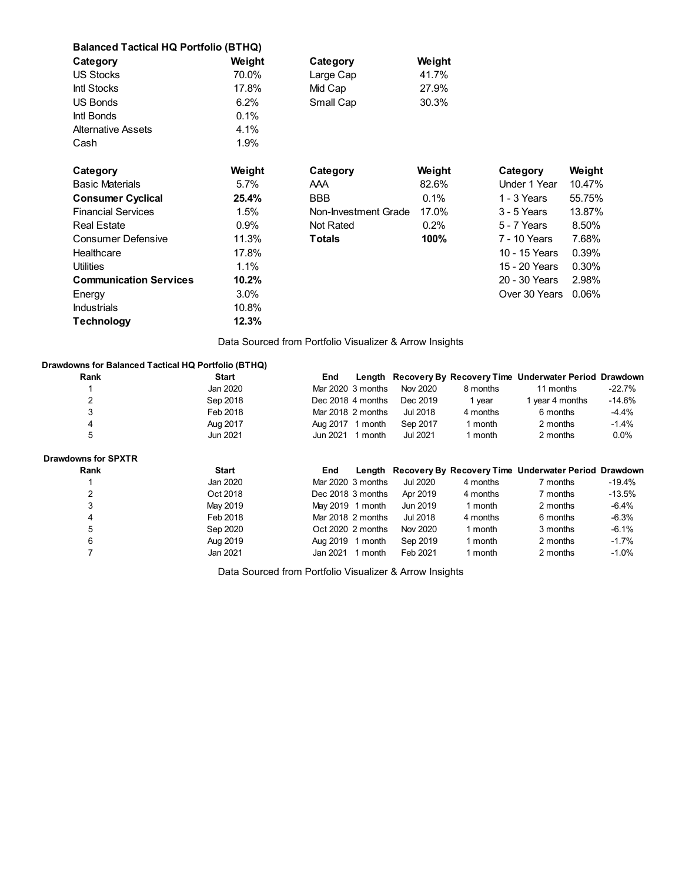| <b>Balanced Tactical HQ Portfolio (BTHQ)</b> |         |                      |         |               |        |
|----------------------------------------------|---------|----------------------|---------|---------------|--------|
| Category                                     | Weight  | Category             | Weight  |               |        |
| <b>US Stocks</b>                             | 70.0%   | Large Cap            | 41.7%   |               |        |
| Intl Stocks                                  | 17.8%   | Mid Cap              | 27.9%   |               |        |
| <b>US Bonds</b>                              | 6.2%    | Small Cap            | 30.3%   |               |        |
| Intl Bonds                                   | 0.1%    |                      |         |               |        |
| <b>Alternative Assets</b>                    | 4.1%    |                      |         |               |        |
| Cash                                         | 1.9%    |                      |         |               |        |
|                                              |         |                      |         |               |        |
| Category                                     | Weight  | Category             | Weight  | Category      | Weight |
| <b>Basic Materials</b>                       | 5.7%    | AAA                  | 82.6%   | Under 1 Year  | 10.47% |
| <b>Consumer Cyclical</b>                     | 25.4%   | <b>BBB</b>           | 0.1%    | 1 - 3 Years   | 55.75% |
| <b>Financial Services</b>                    | 1.5%    | Non-Investment Grade | 17.0%   | 3 - 5 Years   | 13.87% |
| <b>Real Estate</b>                           | 0.9%    | Not Rated            | $0.2\%$ | 5 - 7 Years   | 8.50%  |
| <b>Consumer Defensive</b>                    | 11.3%   | <b>Totals</b>        | 100%    | 7 - 10 Years  | 7.68%  |
| Healthcare                                   | 17.8%   |                      |         | 10 - 15 Years | 0.39%  |
| <b>Utilities</b>                             | 1.1%    |                      |         | 15 - 20 Years | 0.30%  |
| <b>Communication Services</b>                | 10.2%   |                      |         | 20 - 30 Years | 2.98%  |
| Energy                                       | $3.0\%$ |                      |         | Over 30 Years | 0.06%  |
| <b>Industrials</b>                           | 10.8%   |                      |         |               |        |
| <b>Technology</b>                            | 12.3%   |                      |         |               |        |

Data Sourced from Portfolio Visualizer & Arrow Insights

#### **Drawdowns for Balanced Tactical HQ Portfolio (BTHQ)**

| Rank                       | <b>Start</b> | End               |         |          |          | Length Recovery By Recovery Time Underwater Period Drawdown |          |
|----------------------------|--------------|-------------------|---------|----------|----------|-------------------------------------------------------------|----------|
|                            | Jan 2020     | Mar 2020 3 months |         | Nov 2020 | 8 months | 11 months                                                   | $-22.7%$ |
| 2                          | Sep 2018     | Dec 2018 4 months |         | Dec 2019 | 1 year   | 1 year 4 months                                             | $-14.6%$ |
| 3                          | Feb 2018     | Mar 2018 2 months |         | Jul 2018 | 4 months | 6 months                                                    | $-4.4%$  |
| 4                          | Aug 2017     | Aug 2017 1 month  |         | Sep 2017 | 1 month  | 2 months                                                    | $-1.4%$  |
| 5                          | Jun 2021     | Jun 2021          | 1 month | Jul 2021 | 1 month  | 2 months                                                    | $0.0\%$  |
| <b>Drawdowns for SPXTR</b> |              |                   |         |          |          |                                                             |          |
|                            |              |                   |         |          |          |                                                             |          |
| Rank                       | <b>Start</b> | End               |         |          |          | Length Recovery By Recovery Time Underwater Period Drawdown |          |
|                            | Jan 2020     | Mar 2020 3 months |         | Jul 2020 | 4 months | 7 months                                                    | $-19.4%$ |
| 2                          | Oct 2018     | Dec 2018 3 months |         | Apr 2019 | 4 months | 7 months                                                    | $-13.5%$ |
| 3                          | May 2019     | May 2019 1 month  |         | Jun 2019 | 1 month  | 2 months                                                    | $-6.4%$  |
| 4                          | Feb 2018     | Mar 2018 2 months |         | Jul 2018 | 4 months | 6 months                                                    | $-6.3%$  |
| 5                          | Sep 2020     | Oct 2020 2 months |         | Nov 2020 | 1 month  | 3 months                                                    | $-6.1%$  |
| 6                          | Aug 2019     | Aug 2019 1 month  |         | Sep 2019 | 1 month  | 2 months                                                    | $-1.7%$  |

Data Sourced from Portfolio Visualizer & Arrow Insights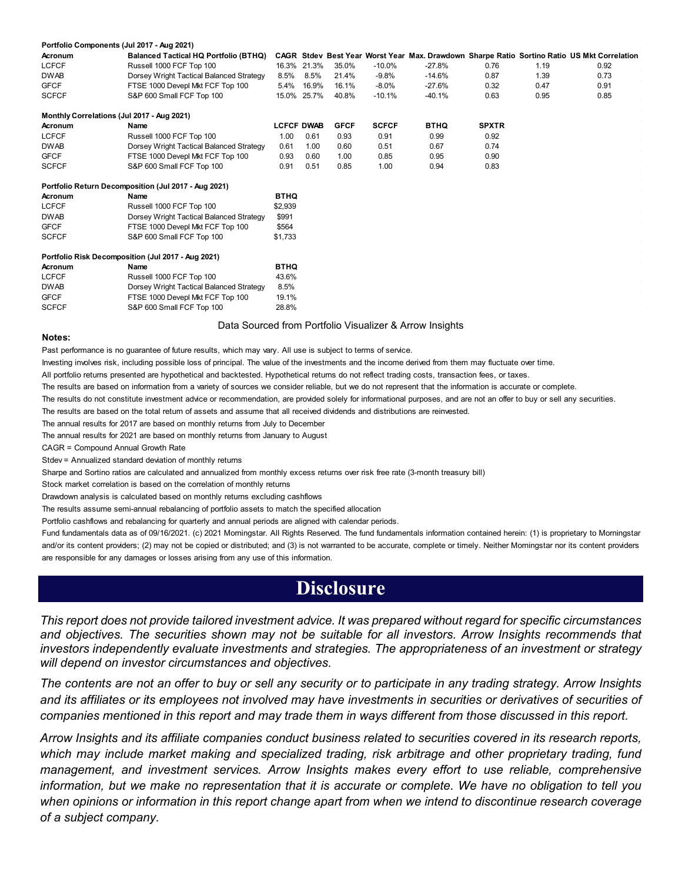| Portfolio Components (Jul 2017 - Aug 2021) |                                                      |                   |             |             |              |             |              |      |                                                                                             |
|--------------------------------------------|------------------------------------------------------|-------------------|-------------|-------------|--------------|-------------|--------------|------|---------------------------------------------------------------------------------------------|
| <b>Acronum</b>                             | <b>Balanced Tactical HQ Portfolio (BTHQ)</b>         |                   |             |             |              |             |              |      | CAGR Stdev Best Year Worst Year Max. Drawdown Sharpe Ratio Sortino Ratio US Mkt Correlation |
| <b>LCFCF</b>                               | Russell 1000 FCF Top 100                             |                   | 16.3% 21.3% | 35.0%       | $-10.0%$     | $-27.8%$    | 0.76         | 1.19 | 0.92                                                                                        |
| <b>DWAB</b>                                | Dorsey Wright Tactical Balanced Strategy             | 8.5%              | 8.5%        | 21.4%       | $-9.8%$      | $-14.6%$    | 0.87         | 1.39 | 0.73                                                                                        |
| <b>GFCF</b>                                | FTSE 1000 Devepl Mkt FCF Top 100                     | 5.4%              | 16.9%       | 16.1%       | $-8.0\%$     | $-27.6%$    | 0.32         | 0.47 | 0.91                                                                                        |
| <b>SCFCF</b>                               | S&P 600 Small FCF Top 100                            |                   | 15.0% 25.7% | 40.8%       | $-10.1%$     | $-40.1%$    | 0.63         | 0.95 | 0.85                                                                                        |
| Monthly Correlations (Jul 2017 - Aug 2021) |                                                      |                   |             |             |              |             |              |      |                                                                                             |
| Acronum                                    | Name                                                 | <b>LCFCF DWAB</b> |             | <b>GFCF</b> | <b>SCFCF</b> | <b>BTHQ</b> | <b>SPXTR</b> |      |                                                                                             |
| <b>LCFCF</b>                               | Russell 1000 FCF Top 100                             | 1.00              | 0.61        | 0.93        | 0.91         | 0.99        | 0.92         |      |                                                                                             |
| <b>DWAB</b>                                | Dorsey Wright Tactical Balanced Strategy             | 0.61              | 1.00        | 0.60        | 0.51         | 0.67        | 0.74         |      |                                                                                             |
| <b>GFCF</b>                                | FTSE 1000 Devepl Mkt FCF Top 100                     | 0.93              | 0.60        | 1.00        | 0.85         | 0.95        | 0.90         |      |                                                                                             |
| <b>SCFCF</b>                               | S&P 600 Small FCF Top 100                            | 0.91              | 0.51        | 0.85        | 1.00         | 0.94        | 0.83         |      |                                                                                             |
|                                            | Portfolio Return Decomposition (Jul 2017 - Aug 2021) |                   |             |             |              |             |              |      |                                                                                             |
| <b>Acronum</b>                             | Name                                                 | <b>BTHQ</b>       |             |             |              |             |              |      |                                                                                             |
| <b>LCFCF</b>                               | Russell 1000 FCF Top 100                             | \$2,939           |             |             |              |             |              |      |                                                                                             |
| <b>DWAB</b>                                | Dorsey Wright Tactical Balanced Strategy             | \$991             |             |             |              |             |              |      |                                                                                             |
| <b>GFCF</b>                                | FTSE 1000 Devepl Mkt FCF Top 100                     | \$564             |             |             |              |             |              |      |                                                                                             |
| <b>SCFCF</b>                               | S&P 600 Small FCF Top 100                            | \$1,733           |             |             |              |             |              |      |                                                                                             |
|                                            | Portfolio Risk Decomposition (Jul 2017 - Aug 2021)   |                   |             |             |              |             |              |      |                                                                                             |
| Acronum                                    | Name                                                 | <b>BTHQ</b>       |             |             |              |             |              |      |                                                                                             |
| <b>LCFCF</b>                               | Russell 1000 FCF Top 100                             | 43.6%             |             |             |              |             |              |      |                                                                                             |
| <b>DWAB</b>                                | Dorsey Wright Tactical Balanced Strategy             | 8.5%              |             |             |              |             |              |      |                                                                                             |
| <b>GFCF</b>                                | FTSE 1000 Devepl Mkt FCF Top 100                     | 19.1%             |             |             |              |             |              |      |                                                                                             |
| <b>SCFCF</b>                               | S&P 600 Small FCF Top 100                            | 28.8%             |             |             |              |             |              |      |                                                                                             |
|                                            |                                                      |                   |             |             |              |             |              |      |                                                                                             |

#### Data Sourced from Portfolio Visualizer & Arrow Insights

#### **Notes:**

Past performance is no guarantee of future results, which may vary. All use is subject to terms of service.

Investing involves risk, including possible loss of principal. The value of the investments and the income derived from them may fluctuate over time.

All portfolio returns presented are hypothetical and backtested. Hypothetical returns do not reflect trading costs, transaction fees, or taxes.

The results are based on information from a variety of sources we consider reliable, but we do not represent that the information is accurate or complete.

The results do not constitute investment advice or recommendation, are provided solely for informational purposes, and are not an offer to buy or sell any securities.

The results are based on the total return of assets and assume that all received dividends and distributions are reinvested.

The annual results for 2017 are based on monthly returns from July to December

The annual results for 2021 are based on monthly returns from January to August

CAGR = Compound Annual Growth Rate

Stdev = Annualized standard deviation of monthly returns

Sharpe and Sortino ratios are calculated and annualized from monthly excess returns over risk free rate (3-month treasury bill)

Stock market correlation is based on the correlation of monthly returns

Drawdown analysis is calculated based on monthly returns excluding cashflows

The results assume semi-annual rebalancing of portfolio assets to match the specified allocation

Portfolio cashflows and rebalancing for quarterly and annual periods are aligned with calendar periods.

Fund fundamentals data as of 09/16/2021. (c) 2021 Morningstar. All Rights Reserved. The fund fundamentals information contained herein: (1) is proprietary to Morningstar and/or its content providers; (2) may not be copied or distributed; and (3) is not warranted to be accurate, complete or timely. Neither Morningstar nor its content providers are responsible for any damages or losses arising from any use of this information.

# **Disclosure**

*This report does not provide tailored investment advice. It was prepared without regard for specific circumstances and objectives. The securities shown may not be suitable for all investors. Arrow Insights recommends that investors independently evaluate investments and strategies. The appropriateness of an investment or strategy will depend on investor circumstances and objectives.* 

*The contents are not an offer to buy or sell any security or to participate in any trading strategy. Arrow Insights and its affiliates or its employees not involved may have investments in securities or derivatives of securities of companies mentioned in this report and may trade them in ways different from those discussed in this report.* 

*Arrow Insights and its affiliate companies conduct business related to securities covered in its research reports, which may include market making and specialized trading, risk arbitrage and other proprietary trading, fund management, and investment services. Arrow Insights makes every effort to use reliable, comprehensive information, but we make no representation that it is accurate or complete. We have no obligation to tell you when opinions or information in this report change apart from when we intend to discontinue research coverage of a subject company.*